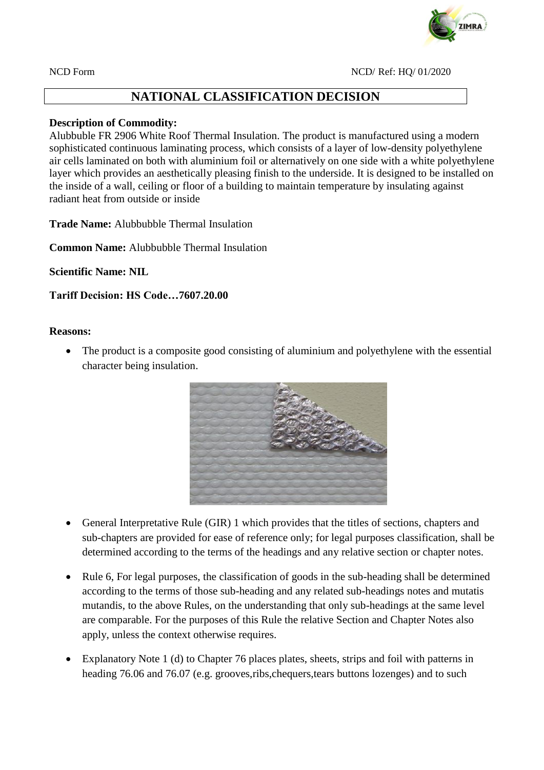

## **NATIONAL CLASSIFICATION DECISION**

## **Description of Commodity:**

Alubbuble FR 2906 White Roof Thermal Insulation. The product is manufactured using a modern sophisticated continuous laminating process, which consists of a layer of low-density polyethylene air cells laminated on both with aluminium foil or alternatively on one side with a white polyethylene layer which provides an aesthetically pleasing finish to the underside. It is designed to be installed on the inside of a wall, ceiling or floor of a building to maintain temperature by insulating against radiant heat from outside or inside

**Trade Name:** Alubbubble Thermal Insulation

**Common Name:** Alubbubble Thermal Insulation

**Scientific Name: NIL**

**Tariff Decision: HS Code…7607.20.00**

## **Reasons:**

• The product is a composite good consisting of aluminium and polyethylene with the essential character being insulation.



- General Interpretative Rule (GIR) 1 which provides that the titles of sections, chapters and sub-chapters are provided for ease of reference only; for legal purposes classification, shall be determined according to the terms of the headings and any relative section or chapter notes.
- Rule 6, For legal purposes, the classification of goods in the sub-heading shall be determined according to the terms of those sub-heading and any related sub-headings notes and mutatis mutandis, to the above Rules, on the understanding that only sub-headings at the same level are comparable. For the purposes of this Rule the relative Section and Chapter Notes also apply, unless the context otherwise requires.
- Explanatory Note 1 (d) to Chapter 76 places plates, sheets, strips and foil with patterns in heading 76.06 and 76.07 (e.g. grooves,ribs,chequers,tears buttons lozenges) and to such